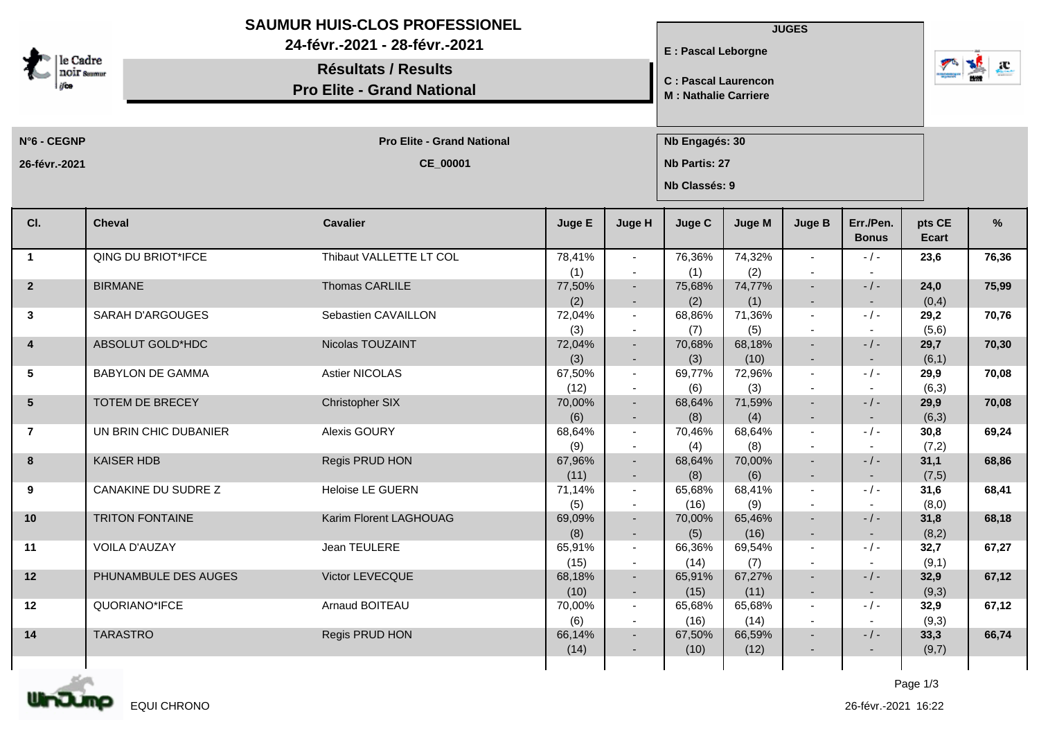| le Cadre<br><b>NOIF</b> Saumur |                         | <b>SAUMUR HUIS-CLOS PROFESSIONEL</b><br>24-févr.-2021 - 28-févr.-2021<br><b>Résultats / Results</b><br><b>Pro Elite - Grand National</b> |                |                                                      | E : Pascal Leborgne<br><b>C: Pascal Laurencon</b><br><b>M: Nathalie Carriere</b> |                | <b>JUGES</b>                       | $\frac{1}{2}$<br>$\mathbf{r}$ |                        |       |
|--------------------------------|-------------------------|------------------------------------------------------------------------------------------------------------------------------------------|----------------|------------------------------------------------------|----------------------------------------------------------------------------------|----------------|------------------------------------|-------------------------------|------------------------|-------|
| N°6 - CEGNP                    |                         | <b>Pro Elite - Grand National</b>                                                                                                        |                |                                                      | Nb Engagés: 30                                                                   |                |                                    |                               |                        |       |
| 26-févr.-2021                  |                         | CE_00001                                                                                                                                 |                |                                                      | Nb Partis: 27<br>Nb Classés: 9                                                   |                |                                    |                               |                        |       |
| CI.                            | <b>Cheval</b>           | <b>Cavalier</b>                                                                                                                          | Juge E         | Juge H                                               | Juge C                                                                           | <b>Juge M</b>  | <b>Juge B</b>                      | Err./Pen.<br><b>Bonus</b>     | pts CE<br><b>Ecart</b> | %     |
| $\mathbf{1}$                   | QING DU BRIOT*IFCE      | Thibaut VALLETTE LT COL                                                                                                                  | 78,41%<br>(1)  | $\overline{\phantom{a}}$<br>$\overline{\phantom{a}}$ | 76,36%<br>(1)                                                                    | 74,32%<br>(2)  |                                    | $-$ / $-$                     | 23,6                   | 76,36 |
| $\overline{2}$                 | <b>BIRMANE</b>          | Thomas CARLILE                                                                                                                           | 77,50%<br>(2)  | $\overline{\phantom{a}}$<br>۰                        | 75,68%<br>(2)                                                                    | 74,77%<br>(1)  | $\sim$                             | $-/-$<br>$\sim$               | 24,0<br>(0,4)          | 75,99 |
| $\mathbf{3}$                   | SARAH D'ARGOUGES        | Sebastien CAVAILLON                                                                                                                      | 72,04%<br>(3)  | $\overline{\phantom{a}}$                             | 68,86%<br>(7)                                                                    | 71,36%<br>(5)  |                                    | $-/-$                         | 29,2<br>(5,6)          | 70,76 |
| 4                              | ABSOLUT GOLD*HDC        | Nicolas TOUZAINT                                                                                                                         | 72,04%<br>(3)  | $\overline{\phantom{a}}$                             | 70,68%<br>(3)                                                                    | 68,18%<br>(10) |                                    | $-/-$                         | 29,7<br>(6,1)          | 70,30 |
| $5\phantom{.0}$                | <b>BABYLON DE GAMMA</b> | Astier NICOLAS                                                                                                                           | 67,50%<br>(12) | $\sim$                                               | 69,77%<br>(6)                                                                    | 72,96%<br>(3)  |                                    | $-/-$                         | 29,9<br>(6,3)          | 70,08 |
| 5 <sup>5</sup>                 | TOTEM DE BRECEY         | Christopher SIX                                                                                                                          | 70,00%<br>(6)  | $\sim$<br>$\blacksquare$                             | 68,64%<br>(8)                                                                    | 71,59%<br>(4)  |                                    | $- / -$                       | 29,9<br>(6,3)          | 70,08 |
| $\overline{7}$                 | UN BRIN CHIC DUBANIER   | Alexis GOURY                                                                                                                             | 68,64%<br>(9)  | $\overline{\phantom{a}}$                             | 70,46%<br>(4)                                                                    | 68,64%<br>(8)  |                                    | $-/-$                         | 30,8<br>(7,2)          | 69,24 |
| 8                              | <b>KAISER HDB</b>       | Regis PRUD HON                                                                                                                           | 67,96%<br>(11) | $\blacksquare$<br>$\overline{\phantom{a}}$           | 68,64%<br>(8)                                                                    | 70,00%<br>(6)  | $\sim$                             | $-/-$<br>$\sim$               | 31,1<br>(7,5)          | 68,86 |
| 9                              | CANAKINE DU SUDRE Z     | <b>Heloise LE GUERN</b>                                                                                                                  | 71,14%<br>(5)  | $\sim$<br>$\overline{\phantom{a}}$                   | 65,68%<br>(16)                                                                   | 68,41%<br>(9)  |                                    | $-/-$<br>$\sim$               | 31,6<br>(8,0)          | 68,41 |
| 10                             | <b>TRITON FONTAINE</b>  | Karim Florent LAGHOUAG                                                                                                                   | 69,09%<br>(8)  | $\sim$<br>$\overline{\phantom{a}}$                   | 70,00%<br>(5)                                                                    | 65,46%<br>(16) | $\overline{\phantom{a}}$<br>$\sim$ | $-/-$                         | 31,8<br>(8,2)          | 68,18 |
| 11                             | <b>VOILA D'AUZAY</b>    | Jean TEULERE                                                                                                                             | 65,91%<br>(15) | $\sim$                                               | 66,36%<br>(14)                                                                   | 69,54%<br>(7)  | $\sim$                             | $-/-$                         | 32,7<br>(9,1)          | 67,27 |
| 12                             | PHUNAMBULE DES AUGES    | Victor LEVECQUE                                                                                                                          | 68,18%<br>(10) | $\overline{\phantom{a}}$<br>$\blacksquare$           | 65,91%<br>(15)                                                                   | 67,27%<br>(11) |                                    | $-/-$<br>$\sim$               | 32,9<br>(9,3)          | 67,12 |
| 12                             | QUORIANO*IFCE           | Arnaud BOITEAU                                                                                                                           | 70,00%<br>(6)  | $\overline{\phantom{a}}$<br>$\sim$                   | 65,68%<br>(16)                                                                   | 65,68%<br>(14) |                                    | $-/-$<br>$\sim$               | 32,9<br>(9,3)          | 67,12 |
| 14                             | <b>TARASTRO</b>         | Regis PRUD HON                                                                                                                           | 66,14%<br>(14) | $\sim$<br>٠                                          | 67,50%<br>(10)                                                                   | 66,59%<br>(12) | ۰.                                 | $-/-$<br>$\sim$               | 33,3<br>(9,7)          | 66,74 |
|                                |                         |                                                                                                                                          |                |                                                      |                                                                                  |                |                                    |                               |                        |       |



Page 1/3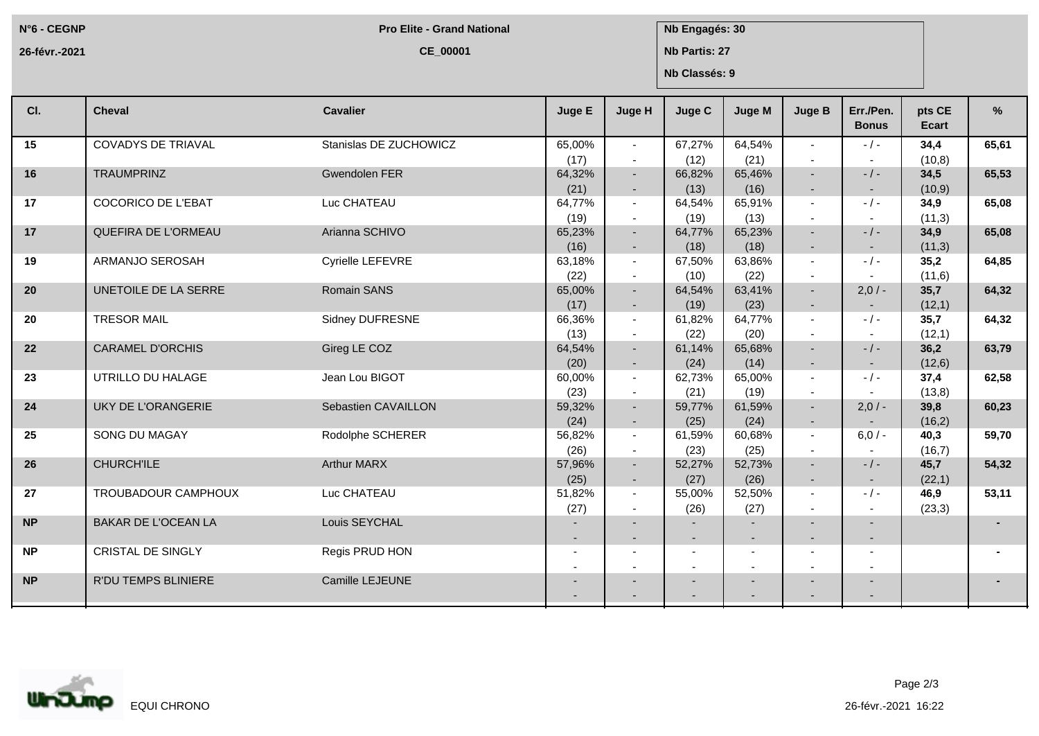**N°6 - CEGNP**

**Pro Elite - Grand National <b>Nb** Engagés: 30

**26-févr.-2021**

**CE\_00001**

**Nb Partis: 27**

**Nb Classés: 9**

| CI.       | <b>Cheval</b>              | <b>Cavalier</b>        | Juge E                   | Juge H                   | <b>Juge C</b>                              | Juge M                                               | <b>Juge B</b>                                        | Err./Pen.<br><b>Bonus</b> | pts CE<br>Ecart | %     |
|-----------|----------------------------|------------------------|--------------------------|--------------------------|--------------------------------------------|------------------------------------------------------|------------------------------------------------------|---------------------------|-----------------|-------|
| 15        | <b>COVADYS DE TRIAVAL</b>  | Stanislas DE ZUCHOWICZ | 65,00%                   | $\sim$                   | 67,27%                                     | 64,54%                                               | $\sim$                                               | $-1 -$                    | 34,4            | 65,61 |
|           |                            |                        | (17)                     | $\overline{a}$           | (12)                                       | (21)                                                 | $\blacksquare$                                       |                           | (10, 8)         |       |
| 16        | <b>TRAUMPRINZ</b>          | Gwendolen FER          | 64,32%                   | $\sim$                   | 66,82%                                     | 65,46%                                               | $\sim$                                               | $-/-$                     | 34,5            | 65,53 |
|           |                            |                        | (21)                     | $\overline{\phantom{a}}$ | (13)                                       | (16)                                                 | $\sim$                                               | $\sim$                    | (10, 9)         |       |
| 17        | <b>COCORICO DE L'EBAT</b>  | Luc CHATEAU            | 64,77%                   | $\sim$                   | 64,54%                                     | 65,91%                                               | $\blacksquare$                                       | $-/-$                     | 34,9            | 65,08 |
|           |                            |                        | (19)                     | $\overline{\phantom{a}}$ | (19)                                       | (13)                                                 | $\overline{\phantom{a}}$                             | $\overline{\phantom{a}}$  | (11,3)          |       |
| 17        | QUEFIRA DE L'ORMEAU        | Arianna SCHIVO         | 65,23%                   | $\sim$                   | 64,77%                                     | 65,23%                                               | $\sim$                                               | $-/-$                     | 34,9            | 65,08 |
|           |                            |                        | (16)                     | $\sim$                   | (18)                                       | (18)                                                 | $\sim$                                               | $\sim$                    | (11,3)          |       |
| 19        | ARMANJO SEROSAH            | Cyrielle LEFEVRE       | 63,18%                   | $\sim$                   | 67,50%                                     | 63,86%                                               | $\blacksquare$                                       | $-1 -$                    | 35,2            | 64,85 |
|           |                            |                        | (22)                     | $\overline{\phantom{a}}$ | (10)                                       | (22)                                                 | $\sim$                                               |                           | (11,6)          |       |
| 20        | UNETOILE DE LA SERRE       | Romain SANS            | 65,00%                   | $\sim$                   | 64,54%                                     | 63,41%                                               | $\sim$                                               | $2,0/-$                   | 35,7            | 64,32 |
|           |                            |                        | (17)                     | $\sim$                   | (19)                                       | (23)                                                 | $\sim$                                               |                           | (12,1)          |       |
| 20        | <b>TRESOR MAIL</b>         | Sidney DUFRESNE        | 66,36%                   | $\sim$                   | 61,82%                                     | 64,77%                                               |                                                      | $-/-$                     | 35,7            | 64,32 |
|           |                            |                        | (13)                     |                          | (22)                                       | (20)                                                 |                                                      |                           | (12,1)          |       |
| 22        | <b>CARAMEL D'ORCHIS</b>    | Gireg LE COZ           | 64,54%                   | $\sim$                   | 61,14%                                     | 65,68%                                               |                                                      | $-/-$                     | 36,2            | 63,79 |
|           |                            |                        | (20)                     | $\overline{\phantom{a}}$ | (24)                                       | (14)                                                 | $\sim$                                               |                           | (12,6)          |       |
| 23        | UTRILLO DU HALAGE          | Jean Lou BIGOT         | 60,00%                   | $\sim$                   | 62,73%                                     | 65,00%                                               | $\sim$                                               | $-$ / $-$                 | 37,4            | 62,58 |
|           |                            |                        | (23)                     | $\sim$                   | (21)                                       | (19)                                                 | $\overline{a}$                                       |                           | (13,8)          |       |
| 24        | <b>UKY DE L'ORANGERIE</b>  | Sebastien CAVAILLON    | 59,32%                   | $\sim$                   | 59,77%                                     | 61,59%                                               | $\sim$                                               | $2,0/-$                   | 39,8            | 60,23 |
|           |                            |                        | (24)                     | $\overline{\phantom{a}}$ | (25)                                       | (24)                                                 | $\sim$                                               |                           | (16,2)          |       |
| 25        | SONG DU MAGAY              | Rodolphe SCHERER       | 56,82%                   | $\sim$                   | 61,59%                                     | 60,68%                                               | $\sim$                                               | $6,0/-$                   | 40,3            | 59,70 |
|           |                            |                        | (26)                     | $\overline{\phantom{a}}$ | (23)                                       | (25)                                                 | $\blacksquare$                                       |                           | (16,7)          |       |
| 26        | <b>CHURCH'ILE</b>          | <b>Arthur MARX</b>     | 57,96%                   | $\sim$                   | 52,27%                                     | 52,73%                                               | $\sim$                                               | $-$ / $-$                 | 45,7            | 54,32 |
|           |                            |                        | (25)                     | $\sim$                   | (27)                                       | (26)                                                 | $\sim$                                               | $\sim$                    | (22,1)          |       |
| 27        | TROUBADOUR CAMPHOUX        | Luc CHATEAU            | 51,82%                   | $\sim$                   | 55,00%                                     | 52,50%                                               | $\blacksquare$                                       | $-1$ $-$                  | 46,9            | 53,11 |
|           |                            |                        | (27)                     |                          | (26)                                       | (27)                                                 | $\overline{\phantom{a}}$                             | $\overline{\phantom{a}}$  | (23,3)          |       |
| <b>NP</b> | <b>BAKAR DE L'OCEAN LA</b> | Louis SEYCHAL          |                          |                          |                                            | $\sim$                                               |                                                      |                           |                 |       |
|           |                            |                        |                          |                          | $\blacksquare$                             | $\sim$                                               | $\sim$                                               |                           |                 |       |
| <b>NP</b> | <b>CRISTAL DE SINGLY</b>   | Regis PRUD HON         |                          |                          | $\overline{\phantom{a}}$<br>$\blacksquare$ | $\overline{\phantom{a}}$<br>$\overline{\phantom{a}}$ | $\overline{\phantom{a}}$<br>$\overline{\phantom{a}}$ |                           |                 |       |
| <b>NP</b> | R'DU TEMPS BLINIERE        | Camille LEJEUNE        |                          |                          | $\overline{\phantom{a}}$                   |                                                      |                                                      |                           |                 |       |
|           |                            |                        | $\overline{\phantom{0}}$ |                          | $\overline{\phantom{0}}$                   | $\overline{\phantom{a}}$                             | $\overline{\phantom{0}}$                             | $\overline{\phantom{0}}$  |                 |       |
|           |                            |                        |                          |                          |                                            |                                                      |                                                      |                           |                 |       |



Page 2/3

26-févr.-2021 16:22